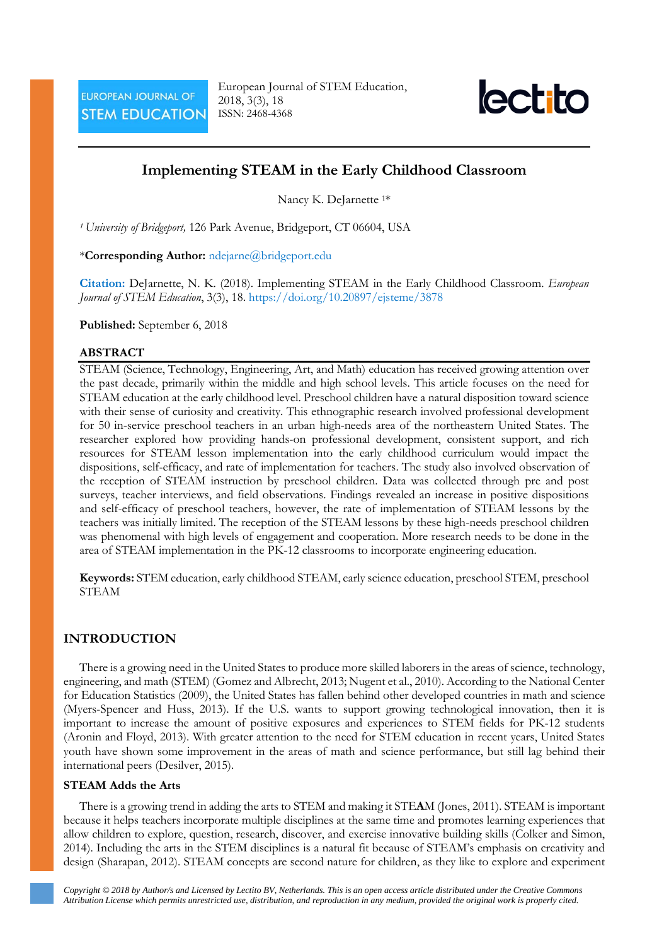

# **Implementing STEAM in the Early Childhood Classroom**

Nancy K. DeJarnette 1\*

*<sup>1</sup> University of Bridgeport,* 126 Park Avenue, Bridgeport, CT 06604, USA

\***Corresponding Author:** ndejarne@bridgeport.edu

**Citation:** DeJarnette, N. K. (2018). Implementing STEAM in the Early Childhood Classroom. *European Journal of STEM Education*, 3(3), 18. <https://doi.org/10.20897/ejsteme/3878>

**Published:** September 6, 2018

# **ABSTRACT**

STEAM (Science, Technology, Engineering, Art, and Math) education has received growing attention over the past decade, primarily within the middle and high school levels. This article focuses on the need for STEAM education at the early childhood level. Preschool children have a natural disposition toward science with their sense of curiosity and creativity. This ethnographic research involved professional development for 50 in-service preschool teachers in an urban high-needs area of the northeastern United States. The researcher explored how providing hands-on professional development, consistent support, and rich resources for STEAM lesson implementation into the early childhood curriculum would impact the dispositions, self-efficacy, and rate of implementation for teachers. The study also involved observation of the reception of STEAM instruction by preschool children. Data was collected through pre and post surveys, teacher interviews, and field observations. Findings revealed an increase in positive dispositions and self-efficacy of preschool teachers, however, the rate of implementation of STEAM lessons by the teachers was initially limited. The reception of the STEAM lessons by these high-needs preschool children was phenomenal with high levels of engagement and cooperation. More research needs to be done in the area of STEAM implementation in the PK-12 classrooms to incorporate engineering education.

**Keywords:** STEM education, early childhood STEAM, early science education, preschool STEM, preschool STEAM

# **INTRODUCTION**

There is a growing need in the United States to produce more skilled laborers in the areas of science, technology, engineering, and math (STEM) (Gomez and Albrecht, 2013; Nugent et al., 2010). According to the National Center for Education Statistics (2009), the United States has fallen behind other developed countries in math and science (Myers-Spencer and Huss, 2013). If the U.S. wants to support growing technological innovation, then it is important to increase the amount of positive exposures and experiences to STEM fields for PK-12 students (Aronin and Floyd, 2013). With greater attention to the need for STEM education in recent years, United States youth have shown some improvement in the areas of math and science performance, but still lag behind their international peers (Desilver, 2015).

# **STEAM Adds the Arts**

There is a growing trend in adding the arts to STEM and making it STE**A**M (Jones, 2011). STEAM is important because it helps teachers incorporate multiple disciplines at the same time and promotes learning experiences that allow children to explore, question, research, discover, and exercise innovative building skills (Colker and Simon, 2014). Including the arts in the STEM disciplines is a natural fit because of STEAM's emphasis on creativity and design (Sharapan, 2012). STEAM concepts are second nature for children, as they like to explore and experiment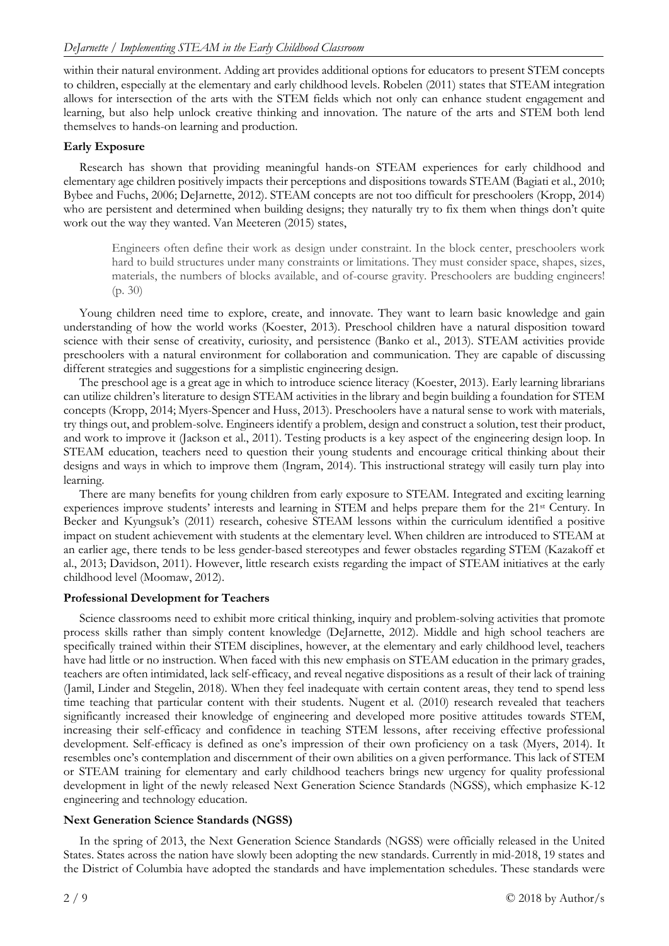within their natural environment. Adding art provides additional options for educators to present STEM concepts to children, especially at the elementary and early childhood levels. Robelen (2011) states that STEAM integration allows for intersection of the arts with the STEM fields which not only can enhance student engagement and learning, but also help unlock creative thinking and innovation. The nature of the arts and STEM both lend themselves to hands-on learning and production.

# **Early Exposure**

Research has shown that providing meaningful hands-on STEAM experiences for early childhood and elementary age children positively impacts their perceptions and dispositions towards STEAM (Bagiati et al., 2010; Bybee and Fuchs, 2006; DeJarnette, 2012). STEAM concepts are not too difficult for preschoolers (Kropp, 2014) who are persistent and determined when building designs; they naturally try to fix them when things don't quite work out the way they wanted. Van Meeteren (2015) states,

Engineers often define their work as design under constraint. In the block center, preschoolers work hard to build structures under many constraints or limitations. They must consider space, shapes, sizes, materials, the numbers of blocks available, and of-course gravity. Preschoolers are budding engineers! (p. 30)

Young children need time to explore, create, and innovate. They want to learn basic knowledge and gain understanding of how the world works (Koester, 2013). Preschool children have a natural disposition toward science with their sense of creativity, curiosity, and persistence (Banko et al., 2013). STEAM activities provide preschoolers with a natural environment for collaboration and communication. They are capable of discussing different strategies and suggestions for a simplistic engineering design.

The preschool age is a great age in which to introduce science literacy (Koester, 2013). Early learning librarians can utilize children's literature to design STEAM activities in the library and begin building a foundation for STEM concepts (Kropp, 2014; Myers-Spencer and Huss, 2013). Preschoolers have a natural sense to work with materials, try things out, and problem-solve. Engineers identify a problem, design and construct a solution, test their product, and work to improve it (Jackson et al., 2011). Testing products is a key aspect of the engineering design loop. In STEAM education, teachers need to question their young students and encourage critical thinking about their designs and ways in which to improve them (Ingram, 2014). This instructional strategy will easily turn play into learning.

There are many benefits for young children from early exposure to STEAM. Integrated and exciting learning experiences improve students' interests and learning in STEM and helps prepare them for the 21st Century. In Becker and Kyungsuk's (2011) research, cohesive STEAM lessons within the curriculum identified a positive impact on student achievement with students at the elementary level. When children are introduced to STEAM at an earlier age, there tends to be less gender-based stereotypes and fewer obstacles regarding STEM (Kazakoff et al., 2013; Davidson, 2011). However, little research exists regarding the impact of STEAM initiatives at the early childhood level (Moomaw, 2012).

# **Professional Development for Teachers**

Science classrooms need to exhibit more critical thinking, inquiry and problem-solving activities that promote process skills rather than simply content knowledge (DeJarnette, 2012). Middle and high school teachers are specifically trained within their STEM disciplines, however, at the elementary and early childhood level, teachers have had little or no instruction. When faced with this new emphasis on STEAM education in the primary grades, teachers are often intimidated, lack self-efficacy, and reveal negative dispositions as a result of their lack of training (Jamil, Linder and Stegelin, 2018). When they feel inadequate with certain content areas, they tend to spend less time teaching that particular content with their students. Nugent et al. (2010) research revealed that teachers significantly increased their knowledge of engineering and developed more positive attitudes towards STEM, increasing their self-efficacy and confidence in teaching STEM lessons, after receiving effective professional development. Self-efficacy is defined as one's impression of their own proficiency on a task (Myers, 2014). It resembles one's contemplation and discernment of their own abilities on a given performance. This lack of STEM or STEAM training for elementary and early childhood teachers brings new urgency for quality professional development in light of the newly released Next Generation Science Standards (NGSS), which emphasize K-12 engineering and technology education.

# **Next Generation Science Standards (NGSS)**

In the spring of 2013, the Next Generation Science Standards (NGSS) were officially released in the United States. States across the nation have slowly been adopting the new standards. Currently in mid-2018, 19 states and the District of Columbia have adopted the standards and have implementation schedules. These standards were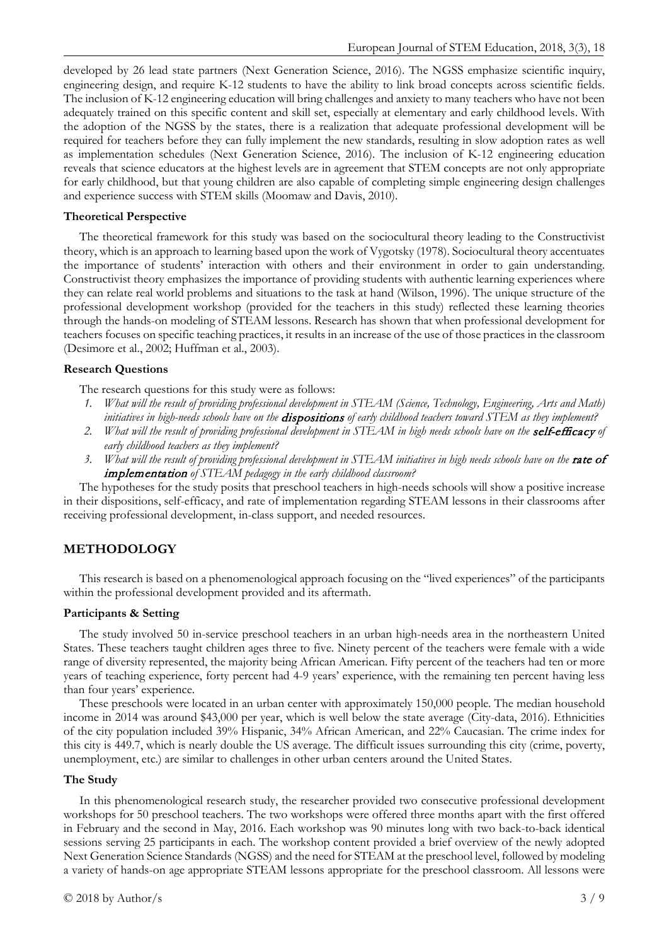developed by 26 lead state partners (Next Generation Science, 2016). The NGSS emphasize scientific inquiry, engineering design, and require K-12 students to have the ability to link broad concepts across scientific fields. The inclusion of K-12 engineering education will bring challenges and anxiety to many teachers who have not been adequately trained on this specific content and skill set, especially at elementary and early childhood levels. With the adoption of the NGSS by the states, there is a realization that adequate professional development will be required for teachers before they can fully implement the new standards, resulting in slow adoption rates as well as implementation schedules (Next Generation Science, 2016). The inclusion of K-12 engineering education reveals that science educators at the highest levels are in agreement that STEM concepts are not only appropriate for early childhood, but that young children are also capable of completing simple engineering design challenges and experience success with STEM skills (Moomaw and Davis, 2010).

## **Theoretical Perspective**

The theoretical framework for this study was based on the sociocultural theory leading to the Constructivist theory, which is an approach to learning based upon the work of Vygotsky (1978). Sociocultural theory accentuates the importance of students' interaction with others and their environment in order to gain understanding. Constructivist theory emphasizes the importance of providing students with authentic learning experiences where they can relate real world problems and situations to the task at hand (Wilson, 1996). The unique structure of the professional development workshop (provided for the teachers in this study) reflected these learning theories through the hands-on modeling of STEAM lessons. Research has shown that when professional development for teachers focuses on specific teaching practices, it results in an increase of the use of those practices in the classroom (Desimore et al., 2002; Huffman et al., 2003).

### **Research Questions**

The research questions for this study were as follows:

- *1. What will the result of providing professional development in STEAM (Science, Technology, Engineering, Arts and Math) initiatives in high-needs schools have on the* dispositions *of early childhood teachers toward STEM as they implement?*
- 2. *What will the result of providing professional development in STEAM in high needs schools have on the self-efficacy of early childhood teachers as they implement?*
- 3. What will the result of providing professional development in STEAM initiatives in high needs schools have on the **rate of** implementation *of STEAM pedagogy in the early childhood classroom?*

The hypotheses for the study posits that preschool teachers in high-needs schools will show a positive increase in their dispositions, self-efficacy, and rate of implementation regarding STEAM lessons in their classrooms after receiving professional development, in-class support, and needed resources.

# **METHODOLOGY**

This research is based on a phenomenological approach focusing on the "lived experiences" of the participants within the professional development provided and its aftermath.

#### **Participants & Setting**

The study involved 50 in-service preschool teachers in an urban high-needs area in the northeastern United States. These teachers taught children ages three to five. Ninety percent of the teachers were female with a wide range of diversity represented, the majority being African American. Fifty percent of the teachers had ten or more years of teaching experience, forty percent had 4-9 years' experience, with the remaining ten percent having less than four years' experience.

These preschools were located in an urban center with approximately 150,000 people. The median household income in 2014 was around \$43,000 per year, which is well below the state average (City-data, 2016). Ethnicities of the city population included 39% Hispanic, 34% African American, and 22% Caucasian. The crime index for this city is 449.7, which is nearly double the US average. The difficult issues surrounding this city (crime, poverty, unemployment, etc.) are similar to challenges in other urban centers around the United States.

# **The Study**

In this phenomenological research study, the researcher provided two consecutive professional development workshops for 50 preschool teachers. The two workshops were offered three months apart with the first offered in February and the second in May, 2016. Each workshop was 90 minutes long with two back-to-back identical sessions serving 25 participants in each. The workshop content provided a brief overview of the newly adopted Next Generation Science Standards (NGSS) and the need for STEAM at the preschool level, followed by modeling a variety of hands-on age appropriate STEAM lessons appropriate for the preschool classroom. All lessons were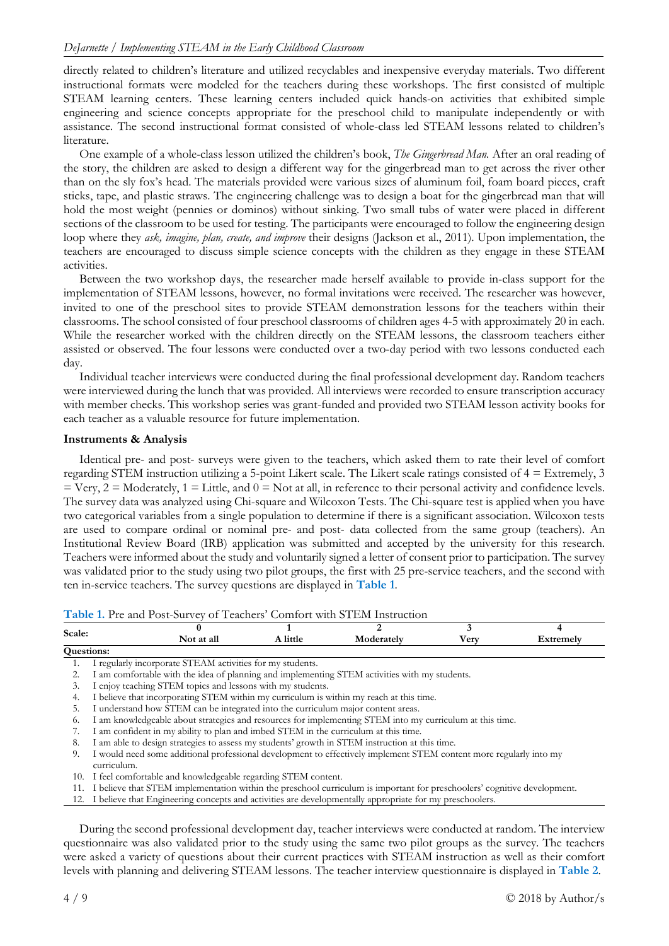directly related to children's literature and utilized recyclables and inexpensive everyday materials. Two different instructional formats were modeled for the teachers during these workshops. The first consisted of multiple STEAM learning centers. These learning centers included quick hands-on activities that exhibited simple engineering and science concepts appropriate for the preschool child to manipulate independently or with assistance. The second instructional format consisted of whole-class led STEAM lessons related to children's literature.

One example of a whole-class lesson utilized the children's book, *The Gingerbread Man.* After an oral reading of the story, the children are asked to design a different way for the gingerbread man to get across the river other than on the sly fox's head. The materials provided were various sizes of aluminum foil, foam board pieces, craft sticks, tape, and plastic straws. The engineering challenge was to design a boat for the gingerbread man that will hold the most weight (pennies or dominos) without sinking. Two small tubs of water were placed in different sections of the classroom to be used for testing. The participants were encouraged to follow the engineering design loop where they *ask, imagine, plan, create, and improve* their designs (Jackson et al., 2011). Upon implementation, the teachers are encouraged to discuss simple science concepts with the children as they engage in these STEAM activities.

Between the two workshop days, the researcher made herself available to provide in-class support for the implementation of STEAM lessons, however, no formal invitations were received. The researcher was however, invited to one of the preschool sites to provide STEAM demonstration lessons for the teachers within their classrooms. The school consisted of four preschool classrooms of children ages 4-5 with approximately 20 in each. While the researcher worked with the children directly on the STEAM lessons, the classroom teachers either assisted or observed. The four lessons were conducted over a two-day period with two lessons conducted each day.

Individual teacher interviews were conducted during the final professional development day. Random teachers were interviewed during the lunch that was provided. All interviews were recorded to ensure transcription accuracy with member checks. This workshop series was grant-funded and provided two STEAM lesson activity books for each teacher as a valuable resource for future implementation.

# **Instruments & Analysis**

Identical pre- and post- surveys were given to the teachers, which asked them to rate their level of comfort regarding STEM instruction utilizing a 5-point Likert scale. The Likert scale ratings consisted of 4 = Extremely, 3  $=$  Very, 2 = Moderately, 1 = Little, and 0 = Not at all, in reference to their personal activity and confidence levels. The survey data was analyzed using Chi-square and Wilcoxon Tests. The Chi-square test is applied when you have two categorical variables from a single population to determine if there is a significant association. Wilcoxon tests are used to compare ordinal or nominal pre- and post- data collected from the same group (teachers). An Institutional Review Board (IRB) application was submitted and accepted by the university for this research. Teachers were informed about the study and voluntarily signed a letter of consent prior to participation. The survey was validated prior to the study using two pilot groups, the first with 25 pre-service teachers, and the second with ten in-service teachers. The survey questions are displayed in **Table 1**.

| Scale:            | Not at all | . little | Moderately | 7erv | Extremely |
|-------------------|------------|----------|------------|------|-----------|
| <b>Questions:</b> |            |          |            |      |           |

| Table 1. Pre and Post-Survey of Teachers' Comfort with STEM Instruction |  |  |  |
|-------------------------------------------------------------------------|--|--|--|
|-------------------------------------------------------------------------|--|--|--|

| ocaic. | A little<br>Not at all<br>Moderately<br>Verv<br>Extremely                                                                         |  |  |  |  |  |
|--------|-----------------------------------------------------------------------------------------------------------------------------------|--|--|--|--|--|
|        | <b>Questions:</b>                                                                                                                 |  |  |  |  |  |
|        | I regularly incorporate STEAM activities for my students.                                                                         |  |  |  |  |  |
|        | I am comfortable with the idea of planning and implementing STEM activities with my students.                                     |  |  |  |  |  |
| 3.     | I enjoy teaching STEM topics and lessons with my students.                                                                        |  |  |  |  |  |
| 4.     | I believe that incorporating STEM within my curriculum is within my reach at this time.                                           |  |  |  |  |  |
| 5.     | I understand how STEM can be integrated into the curriculum major content areas.                                                  |  |  |  |  |  |
| 0.     | I am knowledgeable about strategies and resources for implementing STEM into my curriculum at this time.                          |  |  |  |  |  |
|        | I am confident in my ability to plan and imbed STEM in the curriculum at this time.                                               |  |  |  |  |  |
| 8.     | I am able to design strategies to assess my students' growth in STEM instruction at this time.                                    |  |  |  |  |  |
| 9.     | I would need some additional professional development to effectively implement STEM content more regularly into my<br>curriculum. |  |  |  |  |  |
| 10.    | I feel comfortable and knowledgeable regarding STEM content.                                                                      |  |  |  |  |  |
| 11.    | I believe that STEM implementation within the preschool curriculum is important for preschoolers' cognitive development.          |  |  |  |  |  |
|        | I believe that Engineering concepts and activities are developmentally appropriate for my preschoolers.                           |  |  |  |  |  |

During the second professional development day, teacher interviews were conducted at random. The interview questionnaire was also validated prior to the study using the same two pilot groups as the survey. The teachers were asked a variety of questions about their current practices with STEAM instruction as well as their comfort levels with planning and delivering STEAM lessons. The teacher interview questionnaire is displayed in **Table 2**.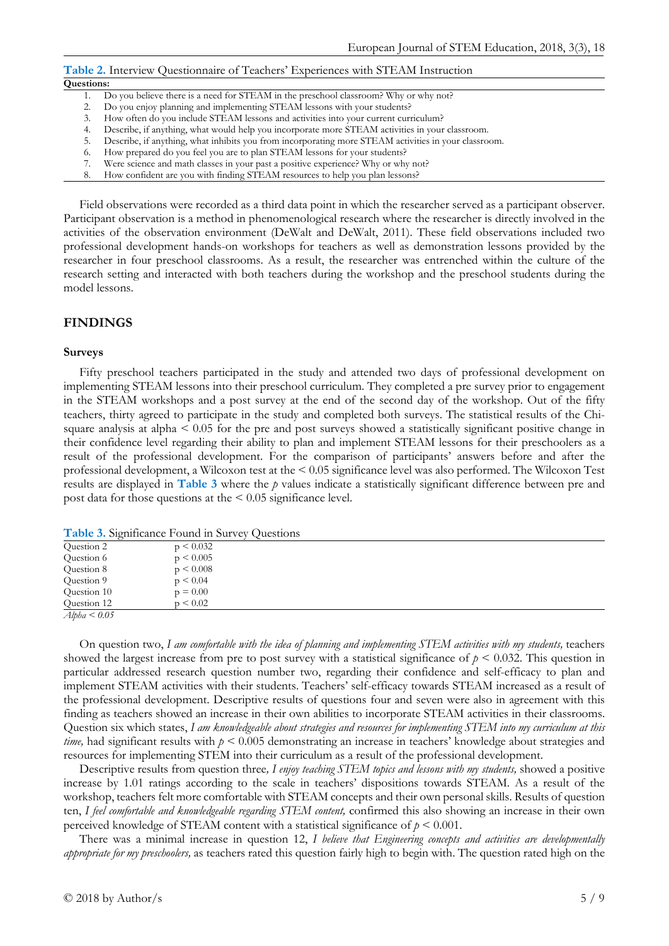**Table 2.** Interview Questionnaire of Teachers' Experiences with STEAM Instruction **Questions:**

- 1. Do you believe there is a need for STEAM in the preschool classroom? Why or why not?
- 2. Do you enjoy planning and implementing STEAM lessons with your students?<br>3. How often do you include STEAM lessons and activities into your current cur
- How often do you include STEAM lessons and activities into your current curriculum?
- 4. Describe, if anything, what would help you incorporate more STEAM activities in your classroom.
- 5. Describe, if anything, what inhibits you from incorporating more STEAM activities in your classroom.
- 6. How prepared do you feel you are to plan STEAM lessons for your students?
- 7. Were science and math classes in your past a positive experience? Why or why not?
- 8. How confident are you with finding STEAM resources to help you plan lessons?

Field observations were recorded as a third data point in which the researcher served as a participant observer. Participant observation is a method in phenomenological research where the researcher is directly involved in the activities of the observation environment (DeWalt and DeWalt, 2011). These field observations included two professional development hands-on workshops for teachers as well as demonstration lessons provided by the researcher in four preschool classrooms. As a result, the researcher was entrenched within the culture of the research setting and interacted with both teachers during the workshop and the preschool students during the model lessons.

#### **FINDINGS**

#### **Surveys**

Fifty preschool teachers participated in the study and attended two days of professional development on implementing STEAM lessons into their preschool curriculum. They completed a pre survey prior to engagement in the STEAM workshops and a post survey at the end of the second day of the workshop. Out of the fifty teachers, thirty agreed to participate in the study and completed both surveys. The statistical results of the Chisquare analysis at alpha  $\leq 0.05$  for the pre and post surveys showed a statistically significant positive change in their confidence level regarding their ability to plan and implement STEAM lessons for their preschoolers as a result of the professional development. For the comparison of participants' answers before and after the professional development, a Wilcoxon test at the < 0.05 significance level was also performed. The Wilcoxon Test results are displayed in **Table 3** where the *p* values indicate a statistically significant difference between pre and post data for those questions at the < 0.05 significance level.

**Table 3.** Significance Found in Survey Questions

| --------     |               |  |  |  |  |
|--------------|---------------|--|--|--|--|
| Question 2   | $p \le 0.032$ |  |  |  |  |
| Question 6   | $p \le 0.005$ |  |  |  |  |
| Question 8   | $p \le 0.008$ |  |  |  |  |
| Question 9   | $p \leq 0.04$ |  |  |  |  |
| Question 10  | $p = 0.00$    |  |  |  |  |
| Question 12  | $p \leq 0.02$ |  |  |  |  |
| $4hL = 4005$ |               |  |  |  |  |

*Alpha < 0.05*

On question two, *I am comfortable with the idea of planning and implementing STEM activities with my students,* teachers showed the largest increase from pre to post survey with a statistical significance of  $p \le 0.032$ . This question in particular addressed research question number two, regarding their confidence and self-efficacy to plan and implement STEAM activities with their students. Teachers' self-efficacy towards STEAM increased as a result of the professional development. Descriptive results of questions four and seven were also in agreement with this finding as teachers showed an increase in their own abilities to incorporate STEAM activities in their classrooms. Question six which states, *I am knowledgeable about strategies and resources for implementing STEM into my curriculum at this time,* had significant results with *p* < 0.005 demonstrating an increase in teachers' knowledge about strategies and resources for implementing STEM into their curriculum as a result of the professional development.

Descriptive results from question three*, I enjoy teaching STEM topics and lessons with my students,* showed a positive increase by 1.01 ratings according to the scale in teachers' dispositions towards STEAM. As a result of the workshop, teachers felt more comfortable with STEAM concepts and their own personal skills. Results of question ten, *I feel comfortable and knowledgeable regarding STEM content,* confirmed this also showing an increase in their own perceived knowledge of STEAM content with a statistical significance of  $p < 0.001$ .

There was a minimal increase in question 12, *I believe that Engineering concepts and activities are developmentally appropriate for my preschoolers,* as teachers rated this question fairly high to begin with. The question rated high on the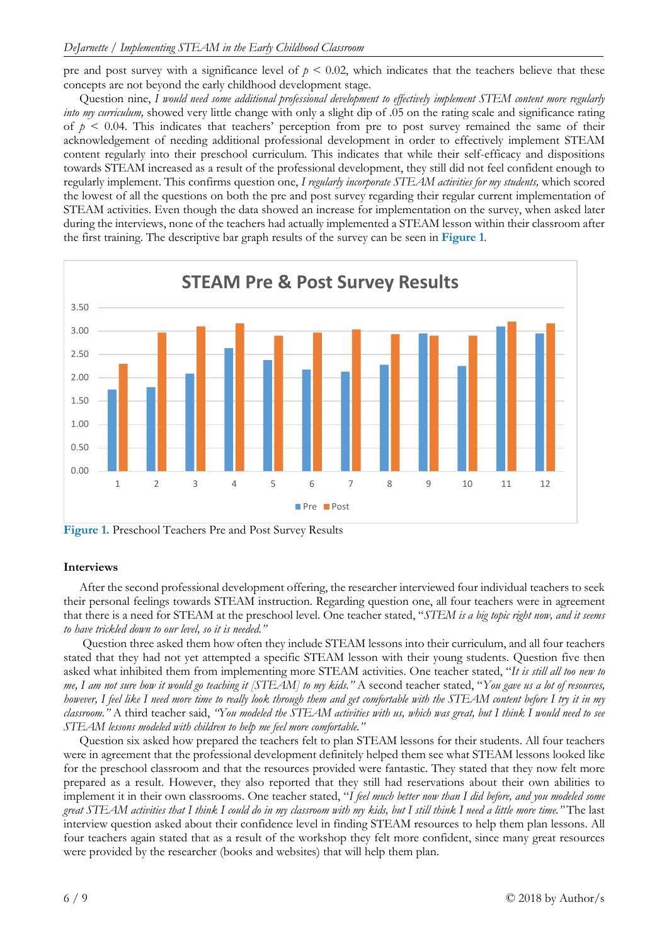pre and post survey with a significance level of  $p < 0.02$ , which indicates that the teachers believe that these concepts are not beyond the early childhood development stage.

Question nine, *I would need some additional professional development to effectively implement STEM content more regularly into my curriculum*, showed very little change with only a slight dip of .05 on the rating scale and significance rating of  $p < 0.04$ . This indicates that teachers' perception from pre to post survey remained the same of their acknowledgement of needing additional professional development in order to effectively implement STEAM content regularly into their preschool curriculum. This indicates that while their self-efficacy and dispositions towards STEAM increased as a result of the professional development, they still did not feel confident enough to regularly implement. This confirms question one, *I regularly incorporate STEAM activities for my students,* which scored the lowest of all the questions on both the pre and post survey regarding their regular current implementation of STEAM activities. Even though the data showed an increase for implementation on the survey, when asked later during the interviews, none of the teachers had actually implemented a STEAM lesson within their classroom after the first training. The descriptive bar graph results of the survey can be seen in **Figure 1**.



**Figure 1.** Preschool Teachers Pre and Post Survey Results

#### **Interviews**

After the second professional development offering, the researcher interviewed four individual teachers to seek their personal feelings towards STEAM instruction. Regarding question one, all four teachers were in agreement that there is a need for STEAM at the preschool level. One teacher stated, "*STEM is a big topic right now, and it seems to have trickled down to our level, so it is needed."*

Question three asked them how often they include STEAM lessons into their curriculum, and all four teachers stated that they had not yet attempted a specific STEAM lesson with their young students. Question five then asked what inhibited them from implementing more STEAM activities. One teacher stated, "*It is still all too new to me, I am not sure how it would go teaching it [STEAM] to my kids."* A second teacher stated, "*You gave us a lot of resources, however, I feel like I need more time to really look through them and get comfortable with the STEAM content before I try it in my classroom."* A third teacher said, *"You modeled the STEAM activities with us, which was great, but I think I would need to see STEAM lessons modeled with children to help me feel more comfortable."*

Question six asked how prepared the teachers felt to plan STEAM lessons for their students. All four teachers were in agreement that the professional development definitely helped them see what STEAM lessons looked like for the preschool classroom and that the resources provided were fantastic. They stated that they now felt more prepared as a result. However, they also reported that they still had reservations about their own abilities to implement it in their own classrooms. One teacher stated, "*I feel much better now than I did before, and you modeled some great STEAM activities that I think I could do in my classroom with my kids, but I still think I need a little more time."* The last interview question asked about their confidence level in finding STEAM resources to help them plan lessons. All four teachers again stated that as a result of the workshop they felt more confident, since many great resources were provided by the researcher (books and websites) that will help them plan.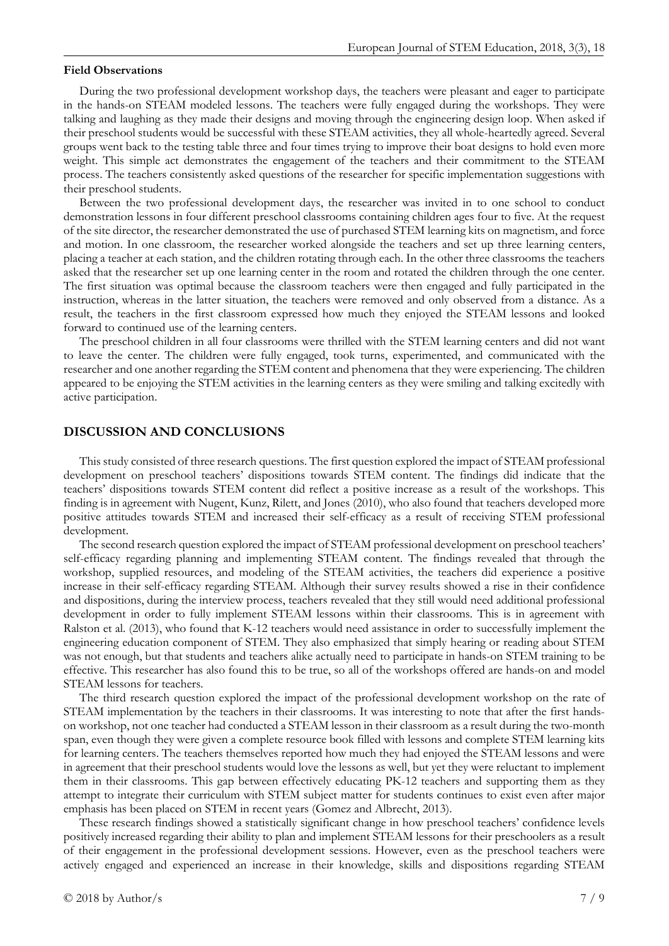#### **Field Observations**

During the two professional development workshop days, the teachers were pleasant and eager to participate in the hands-on STEAM modeled lessons. The teachers were fully engaged during the workshops. They were talking and laughing as they made their designs and moving through the engineering design loop. When asked if their preschool students would be successful with these STEAM activities, they all whole-heartedly agreed. Several groups went back to the testing table three and four times trying to improve their boat designs to hold even more weight. This simple act demonstrates the engagement of the teachers and their commitment to the STEAM process. The teachers consistently asked questions of the researcher for specific implementation suggestions with their preschool students.

Between the two professional development days, the researcher was invited in to one school to conduct demonstration lessons in four different preschool classrooms containing children ages four to five. At the request of the site director, the researcher demonstrated the use of purchased STEM learning kits on magnetism, and force and motion. In one classroom, the researcher worked alongside the teachers and set up three learning centers, placing a teacher at each station, and the children rotating through each. In the other three classrooms the teachers asked that the researcher set up one learning center in the room and rotated the children through the one center. The first situation was optimal because the classroom teachers were then engaged and fully participated in the instruction, whereas in the latter situation, the teachers were removed and only observed from a distance. As a result, the teachers in the first classroom expressed how much they enjoyed the STEAM lessons and looked forward to continued use of the learning centers.

The preschool children in all four classrooms were thrilled with the STEM learning centers and did not want to leave the center. The children were fully engaged, took turns, experimented, and communicated with the researcher and one another regarding the STEM content and phenomena that they were experiencing. The children appeared to be enjoying the STEM activities in the learning centers as they were smiling and talking excitedly with active participation.

#### **DISCUSSION AND CONCLUSIONS**

This study consisted of three research questions. The first question explored the impact of STEAM professional development on preschool teachers' dispositions towards STEM content. The findings did indicate that the teachers' dispositions towards STEM content did reflect a positive increase as a result of the workshops. This finding is in agreement with Nugent, Kunz, Rilett, and Jones (2010), who also found that teachers developed more positive attitudes towards STEM and increased their self-efficacy as a result of receiving STEM professional development.

The second research question explored the impact of STEAM professional development on preschool teachers' self-efficacy regarding planning and implementing STEAM content. The findings revealed that through the workshop, supplied resources, and modeling of the STEAM activities, the teachers did experience a positive increase in their self-efficacy regarding STEAM. Although their survey results showed a rise in their confidence and dispositions, during the interview process, teachers revealed that they still would need additional professional development in order to fully implement STEAM lessons within their classrooms. This is in agreement with Ralston et al. (2013), who found that K-12 teachers would need assistance in order to successfully implement the engineering education component of STEM. They also emphasized that simply hearing or reading about STEM was not enough, but that students and teachers alike actually need to participate in hands-on STEM training to be effective. This researcher has also found this to be true, so all of the workshops offered are hands-on and model STEAM lessons for teachers.

The third research question explored the impact of the professional development workshop on the rate of STEAM implementation by the teachers in their classrooms. It was interesting to note that after the first handson workshop, not one teacher had conducted a STEAM lesson in their classroom as a result during the two-month span, even though they were given a complete resource book filled with lessons and complete STEM learning kits for learning centers. The teachers themselves reported how much they had enjoyed the STEAM lessons and were in agreement that their preschool students would love the lessons as well, but yet they were reluctant to implement them in their classrooms. This gap between effectively educating PK-12 teachers and supporting them as they attempt to integrate their curriculum with STEM subject matter for students continues to exist even after major emphasis has been placed on STEM in recent years (Gomez and Albrecht, 2013).

These research findings showed a statistically significant change in how preschool teachers' confidence levels positively increased regarding their ability to plan and implement STEAM lessons for their preschoolers as a result of their engagement in the professional development sessions. However, even as the preschool teachers were actively engaged and experienced an increase in their knowledge, skills and dispositions regarding STEAM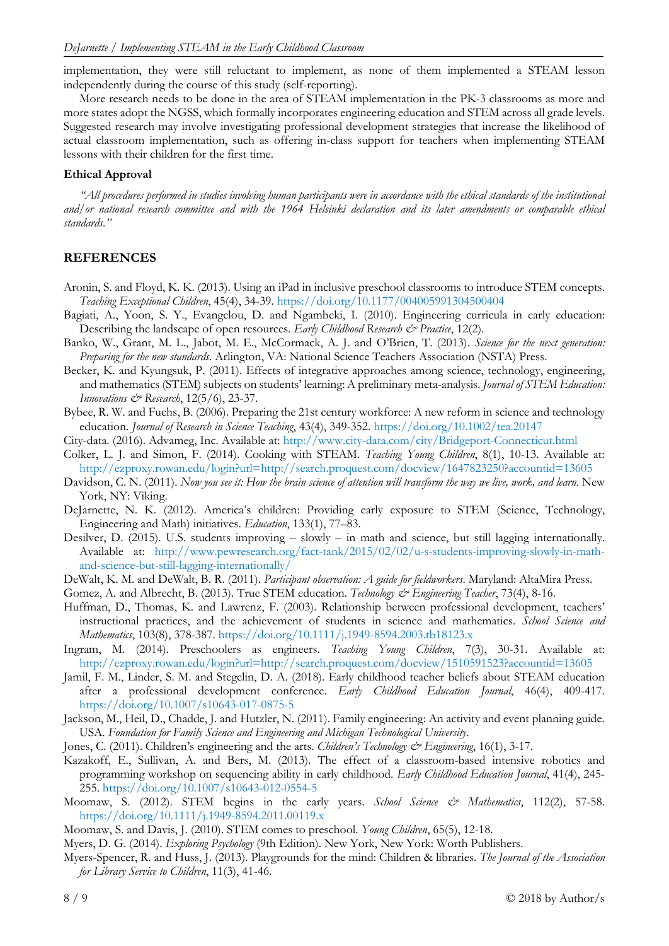implementation, they were still reluctant to implement, as none of them implemented a STEAM lesson independently during the course of this study (self-reporting).

More research needs to be done in the area of STEAM implementation in the PK-3 classrooms as more and more states adopt the NGSS, which formally incorporates engineering education and STEM across all grade levels. Suggested research may involve investigating professional development strategies that increase the likelihood of actual classroom implementation, such as offering in-class support for teachers when implementing STEAM lessons with their children for the first time.

#### **Ethical Approval**

*"All procedures performed in studies involving human participants were in accordance with the ethical standards of the institutional and/or national research committee and with the 1964 Helsinki declaration and its later amendments or comparable ethical standards."*

### **REFERENCES**

- Aronin, S. and Floyd, K. K. (2013). Using an iPad in inclusive preschool classrooms to introduce STEM concepts. *Teaching Exceptional Children*, 45(4), 34-39. <https://doi.org/10.1177/004005991304500404>
- Bagiati, A., Yoon, S. Y., Evangelou, D. and Ngambeki, I. (2010). Engineering curricula in early education: Describing the landscape of open resources. *Early Childhood Research & Practice*, 12(2).
- Banko, W., Grant, M. L., Jabot, M. E., McCormack, A. J. and O'Brien, T. (2013). *Science for the next generation: Preparing for the new standards*. Arlington, VA: National Science Teachers Association (NSTA) Press.
- Becker, K. and Kyungsuk, P. (2011). Effects of integrative approaches among science, technology, engineering, and mathematics (STEM) subjects on students' learning: A preliminary meta-analysis. *Journal of STEM Education: Innovations & Research*, 12(5/6), 23-37.
- Bybee, R. W. and Fuchs, B. (2006). Preparing the 21st century workforce: A new reform in science and technology education. *Journal of Research in Science Teaching*, 43(4), 349-352. <https://doi.org/10.1002/tea.20147>
- City-data. (2016). Advameg, Inc. Available at:<http://www.city-data.com/city/Bridgeport-Connecticut.html>
- Colker, L. J. and Simon, F. (2014). Cooking with STEAM. *Teaching Young Children*, 8(1), 10-13. Available at: <http://ezproxy.rowan.edu/login?url=http://search.proquest.com/docview/1647823250?accountid=13605>
- Davidson, C. N. (2011). *Now you see it: How the brain science of attention will transform the way we live, work, and learn*. New York, NY: Viking.
- DeJarnette, N. K. (2012). America's children: Providing early exposure to STEM (Science, Technology, Engineering and Math) initiatives. *Education*, 133(1), 77–83.
- Desilver, D. (2015). U.S. students improving slowly in math and science, but still lagging internationally. Available at: [http://www.pewresearch.org/fact-tank/2015/02/02/u-s-students-improving-slowly-in-math](http://www.pewresearch.org/fact-tank/2015/02/02/u-s-students-improving-slowly-in-math-and-science-but-still-lagging-internationally/)[and-science-but-still-lagging-internationally/](http://www.pewresearch.org/fact-tank/2015/02/02/u-s-students-improving-slowly-in-math-and-science-but-still-lagging-internationally/)
- DeWalt, K. M. and DeWalt, B. R. (2011). *Participant observation: A guide for fieldworkers*. Maryland: AltaMira Press.
- Gomez, A. and Albrecht, B. (2013). True STEM education. *Technology & Engineering Teacher*, 73(4), 8-16.
- Huffman, D., Thomas, K. and Lawrenz, F. (2003). Relationship between professional development, teachers' instructional practices, and the achievement of students in science and mathematics. *School Science and Mathematics*, 103(8), 378-387. <https://doi.org/10.1111/j.1949-8594.2003.tb18123.x>
- Ingram, M. (2014). Preschoolers as engineers. *Teaching Young Children*, 7(3), 30-31. Available at: <http://ezproxy.rowan.edu/login?url=http://search.proquest.com/docview/1510591523?accountid=13605>
- Jamil, F. M., Linder, S. M. and Stegelin, D. A. (2018). Early childhood teacher beliefs about STEAM education after a professional development conference. *Early Childhood Education Journal*, 46(4), 409-417. <https://doi.org/10.1007/s10643-017-0875-5>
- Jackson, M., Heil, D., Chadde, J. and Hutzler, N. (2011). Family engineering: An activity and event planning guide. USA. *Foundation for Family Science and Engineering and Michigan Technological University*.
- Jones, C. (2011). Children's engineering and the arts. *Children's Technology & Engineering*, 16(1), 3-17.
- Kazakoff, E., Sullivan, A. and Bers, M. (2013). The effect of a classroom-based intensive robotics and programming workshop on sequencing ability in early childhood. *Early Childhood Education Journal*, 41(4), 245- 255.<https://doi.org/10.1007/s10643-012-0554-5>
- Moomaw, S. (2012). STEM begins in the early years. *School Science & Mathematics*, 112(2), 57-58. <https://doi.org/10.1111/j.1949-8594.2011.00119.x>
- Moomaw, S. and Davis, J. (2010). STEM comes to preschool. *Young Children*, 65(5), 12-18.
- Myers, D. G. (2014). *Exploring Psychology* (9th Edition). New York, New York: Worth Publishers.

Myers-Spencer, R. and Huss, J. (2013). Playgrounds for the mind: Children & libraries. *The Journal of the Association for Library Service to Children*, 11(3), 41-46.